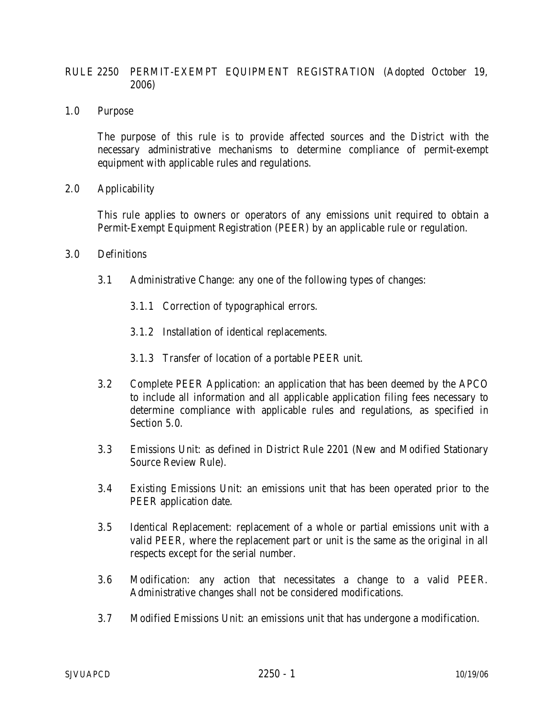## RULE 2250 PERMIT-EXEMPT EQUIPMENT REGISTRATION (Adopted October 19, 2006)

1.0 Purpose

The purpose of this rule is to provide affected sources and the District with the necessary administrative mechanisms to determine compliance of permit-exempt equipment with applicable rules and regulations.

2.0 Applicability

This rule applies to owners or operators of any emissions unit required to obtain a Permit-Exempt Equipment Registration (PEER) by an applicable rule or regulation.

- 3.0 Definitions
	- 3.1 Administrative Change: any one of the following types of changes:
		- 3.1.1 Correction of typographical errors.
		- 3.1.2 Installation of identical replacements.
		- 3.1.3 Transfer of location of a portable PEER unit.
	- 3.2 Complete PEER Application: an application that has been deemed by the APCO to include all information and all applicable application filing fees necessary to determine compliance with applicable rules and regulations, as specified in Section 5.0.
	- 3.3 Emissions Unit: as defined in District Rule 2201 (New and Modified Stationary Source Review Rule).
	- 3.4 Existing Emissions Unit: an emissions unit that has been operated prior to the PEER application date.
	- 3.5 Identical Replacement: replacement of a whole or partial emissions unit with a valid PEER, where the replacement part or unit is the same as the original in all respects except for the serial number.
	- 3.6 Modification: any action that necessitates a change to a valid PEER. Administrative changes shall not be considered modifications.
	- 3.7 Modified Emissions Unit: an emissions unit that has undergone a modification.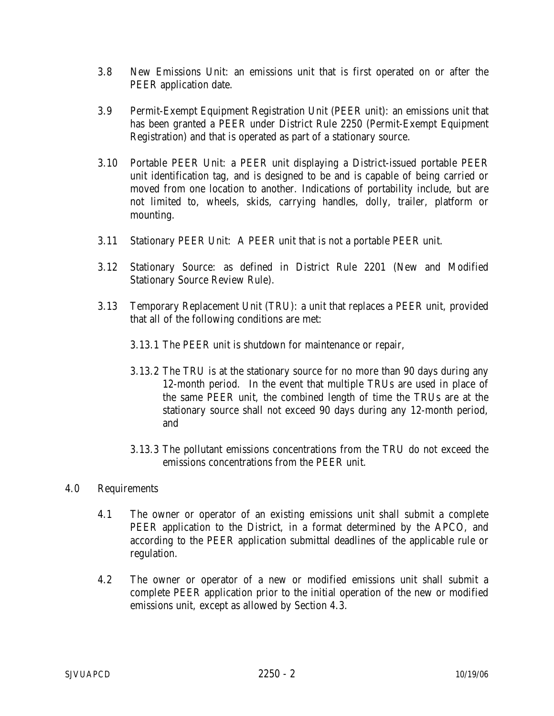- 3.8 New Emissions Unit: an emissions unit that is first operated on or after the PEER application date.
- 3.9 Permit-Exempt Equipment Registration Unit (PEER unit): an emissions unit that has been granted a PEER under District Rule 2250 (Permit-Exempt Equipment Registration) and that is operated as part of a stationary source.
- 3.10 Portable PEER Unit: a PEER unit displaying a District-issued portable PEER unit identification tag, and is designed to be and is capable of being carried or moved from one location to another. Indications of portability include, but are not limited to, wheels, skids, carrying handles, dolly, trailer, platform or mounting.
- 3.11 Stationary PEER Unit: A PEER unit that is not a portable PEER unit.
- 3.12 Stationary Source: as defined in District Rule 2201 (New and Modified Stationary Source Review Rule).
- 3.13 Temporary Replacement Unit (TRU): a unit that replaces a PEER unit, provided that all of the following conditions are met:
	- 3.13.1 The PEER unit is shutdown for maintenance or repair,
	- 3.13.2 The TRU is at the stationary source for no more than 90 days during any 12-month period. In the event that multiple TRUs are used in place of the same PEER unit, the combined length of time the TRUs are at the stationary source shall not exceed 90 days during any 12-month period, and
	- 3.13.3 The pollutant emissions concentrations from the TRU do not exceed the emissions concentrations from the PEER unit.

## 4.0 Requirements

- 4.1 The owner or operator of an existing emissions unit shall submit a complete PEER application to the District, in a format determined by the APCO, and according to the PEER application submittal deadlines of the applicable rule or regulation.
- 4.2 The owner or operator of a new or modified emissions unit shall submit a complete PEER application prior to the initial operation of the new or modified emissions unit, except as allowed by Section 4.3.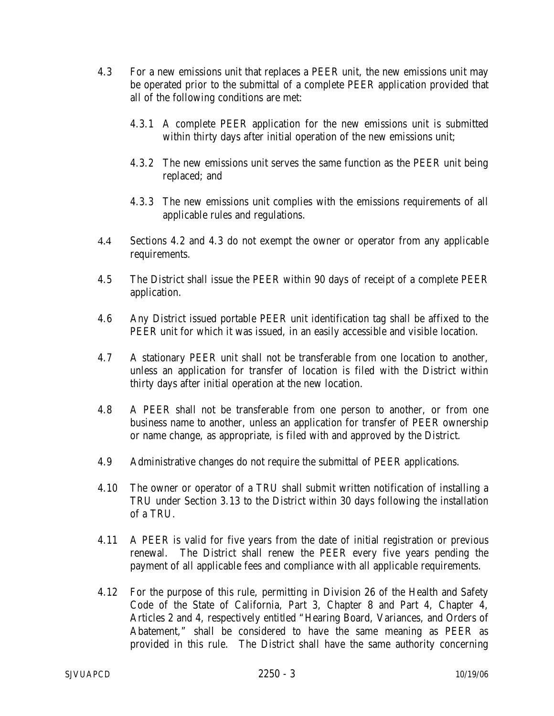- 4.3 For a new emissions unit that replaces a PEER unit, the new emissions unit may be operated prior to the submittal of a complete PEER application provided that all of the following conditions are met:
	- 4.3.1 A complete PEER application for the new emissions unit is submitted within thirty days after initial operation of the new emissions unit;
	- 4.3.2 The new emissions unit serves the same function as the PEER unit being replaced; and
	- 4.3.3 The new emissions unit complies with the emissions requirements of all applicable rules and regulations.
- 4.4 Sections 4.2 and 4.3 do not exempt the owner or operator from any applicable requirements.
- 4.5 The District shall issue the PEER within 90 days of receipt of a complete PEER application.
- 4.6 Any District issued portable PEER unit identification tag shall be affixed to the PEER unit for which it was issued, in an easily accessible and visible location.
- 4.7 A stationary PEER unit shall not be transferable from one location to another, unless an application for transfer of location is filed with the District within thirty days after initial operation at the new location.
- 4.8 A PEER shall not be transferable from one person to another, or from one business name to another, unless an application for transfer of PEER ownership or name change, as appropriate, is filed with and approved by the District.
- 4.9 Administrative changes do not require the submittal of PEER applications.
- 4.10 The owner or operator of a TRU shall submit written notification of installing a TRU under Section 3.13 to the District within 30 days following the installation of a TRU.
- 4.11 A PEER is valid for five years from the date of initial registration or previous renewal. The District shall renew the PEER every five years pending the payment of all applicable fees and compliance with all applicable requirements.
- 4.12 For the purpose of this rule, permitting in Division 26 of the Health and Safety Code of the State of California, Part 3, Chapter 8 and Part 4, Chapter 4, Articles 2 and 4, respectively entitled "Hearing Board, Variances, and Orders of Abatement," shall be considered to have the same meaning as PEER as provided in this rule. The District shall have the same authority concerning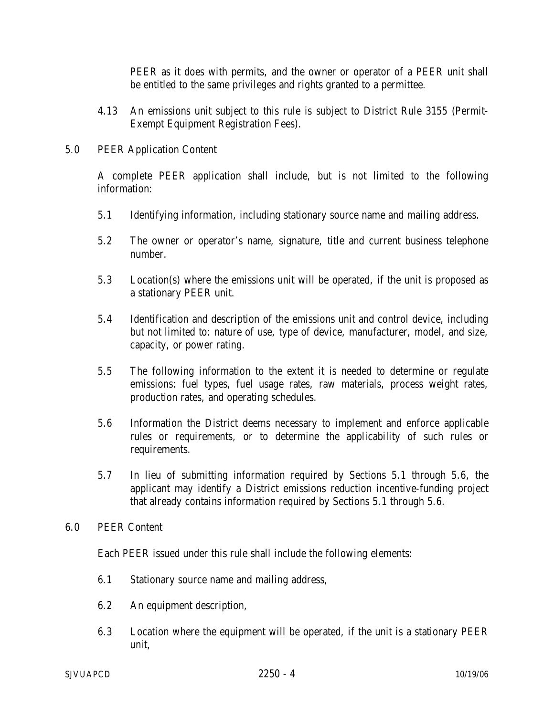PEER as it does with permits, and the owner or operator of a PEER unit shall be entitled to the same privileges and rights granted to a permittee.

4.13 An emissions unit subject to this rule is subject to District Rule 3155 (Permit-Exempt Equipment Registration Fees).

## 5.0 PEER Application Content

A complete PEER application shall include, but is not limited to the following information:

- 5.1 Identifying information, including stationary source name and mailing address.
- 5.2 The owner or operator's name, signature, title and current business telephone number.
- 5.3 Location(s) where the emissions unit will be operated, if the unit is proposed as a stationary PEER unit.
- 5.4 Identification and description of the emissions unit and control device, including but not limited to: nature of use, type of device, manufacturer, model, and size, capacity, or power rating.
- 5.5 The following information to the extent it is needed to determine or regulate emissions: fuel types, fuel usage rates, raw materials, process weight rates, production rates, and operating schedules.
- 5.6 Information the District deems necessary to implement and enforce applicable rules or requirements, or to determine the applicability of such rules or requirements.
- 5.7 In lieu of submitting information required by Sections 5.1 through 5.6, the applicant may identify a District emissions reduction incentive-funding project that already contains information required by Sections 5.1 through 5.6.
- 6.0 PEER Content

Each PEER issued under this rule shall include the following elements:

- 6.1 Stationary source name and mailing address,
- 6.2 An equipment description,
- 6.3 Location where the equipment will be operated, if the unit is a stationary PEER unit,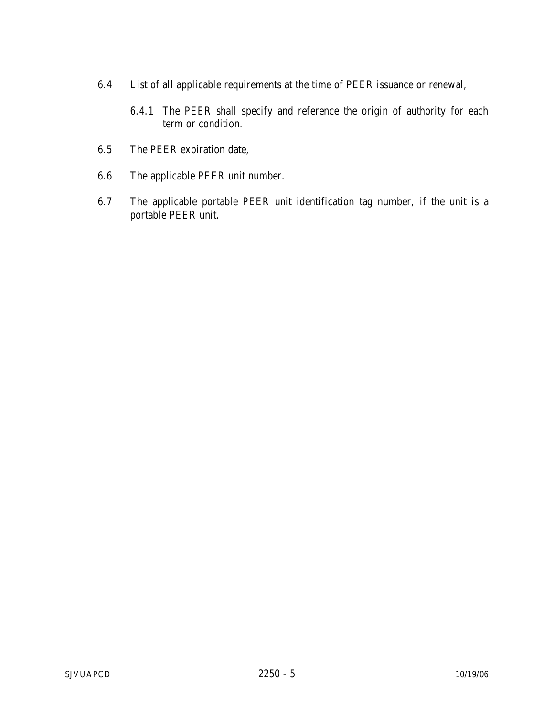- 6.4 List of all applicable requirements at the time of PEER issuance or renewal,
	- 6.4.1 The PEER shall specify and reference the origin of authority for each term or condition.
- 6.5 The PEER expiration date,
- 6.6 The applicable PEER unit number.
- 6.7 The applicable portable PEER unit identification tag number, if the unit is a portable PEER unit.